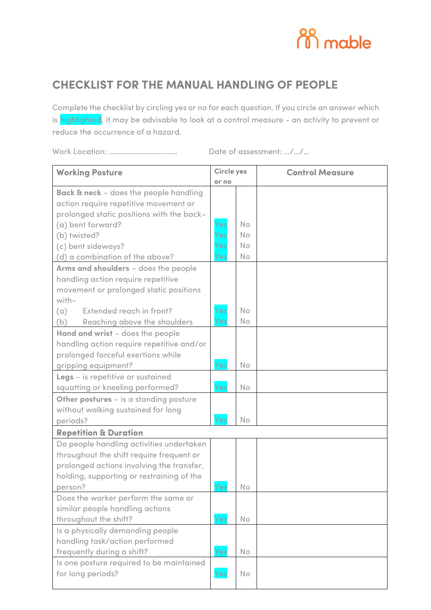

## **CHECKLIST FOR THE MANUAL HANDLING OF PEOPLE**

Complete the checklist by circling yes or no for each question. If you circle an answer which is highlighted, it may be advisable to look at a control measure - an activity to prevent or reduce the occurrence of a hazard.

Work Location: ……………………………… Date of assessment: …/…/…

| <b>Working Posture</b>                            | <b>Circle yes</b> |                |  |  |  |  |  |  |  |  |  |  |  |  |  |  |  |  |  |  |  |  |  |  |  |  |  | <b>Control Measure</b> |
|---------------------------------------------------|-------------------|----------------|--|--|--|--|--|--|--|--|--|--|--|--|--|--|--|--|--|--|--|--|--|--|--|--|--|------------------------|
|                                                   | or no             |                |  |  |  |  |  |  |  |  |  |  |  |  |  |  |  |  |  |  |  |  |  |  |  |  |  |                        |
| <b>Back &amp; neck</b> - does the people handling |                   |                |  |  |  |  |  |  |  |  |  |  |  |  |  |  |  |  |  |  |  |  |  |  |  |  |  |                        |
| action require repetitive movement or             |                   |                |  |  |  |  |  |  |  |  |  |  |  |  |  |  |  |  |  |  |  |  |  |  |  |  |  |                        |
| prolonged static positions with the back-         |                   |                |  |  |  |  |  |  |  |  |  |  |  |  |  |  |  |  |  |  |  |  |  |  |  |  |  |                        |
| (a) bent forward?                                 | Yes               | <b>No</b>      |  |  |  |  |  |  |  |  |  |  |  |  |  |  |  |  |  |  |  |  |  |  |  |  |  |                        |
| (b) twisted?                                      | Yes               | No             |  |  |  |  |  |  |  |  |  |  |  |  |  |  |  |  |  |  |  |  |  |  |  |  |  |                        |
| (c) bent sideways?                                | Yes               | <b>No</b>      |  |  |  |  |  |  |  |  |  |  |  |  |  |  |  |  |  |  |  |  |  |  |  |  |  |                        |
| (d) a combination of the above?                   | Yes               | No             |  |  |  |  |  |  |  |  |  |  |  |  |  |  |  |  |  |  |  |  |  |  |  |  |  |                        |
| Arms and shoulders - does the people              |                   |                |  |  |  |  |  |  |  |  |  |  |  |  |  |  |  |  |  |  |  |  |  |  |  |  |  |                        |
| handling action require repetitive                |                   |                |  |  |  |  |  |  |  |  |  |  |  |  |  |  |  |  |  |  |  |  |  |  |  |  |  |                        |
| movement or prolonged static positions            |                   |                |  |  |  |  |  |  |  |  |  |  |  |  |  |  |  |  |  |  |  |  |  |  |  |  |  |                        |
| with-                                             |                   |                |  |  |  |  |  |  |  |  |  |  |  |  |  |  |  |  |  |  |  |  |  |  |  |  |  |                        |
| Extended reach in front?<br>(a)                   | Yes               | N <sub>o</sub> |  |  |  |  |  |  |  |  |  |  |  |  |  |  |  |  |  |  |  |  |  |  |  |  |  |                        |
| (b)<br>Reaching above the shoulders               | Yes               | No             |  |  |  |  |  |  |  |  |  |  |  |  |  |  |  |  |  |  |  |  |  |  |  |  |  |                        |
| Hand and wrist - does the people                  |                   |                |  |  |  |  |  |  |  |  |  |  |  |  |  |  |  |  |  |  |  |  |  |  |  |  |  |                        |
| handling action require repetitive and/or         |                   |                |  |  |  |  |  |  |  |  |  |  |  |  |  |  |  |  |  |  |  |  |  |  |  |  |  |                        |
| prolonged forceful exertions while                |                   |                |  |  |  |  |  |  |  |  |  |  |  |  |  |  |  |  |  |  |  |  |  |  |  |  |  |                        |
| gripping equipment?                               | Yes               | No             |  |  |  |  |  |  |  |  |  |  |  |  |  |  |  |  |  |  |  |  |  |  |  |  |  |                        |
| Legs - is repetitive or sustained                 |                   |                |  |  |  |  |  |  |  |  |  |  |  |  |  |  |  |  |  |  |  |  |  |  |  |  |  |                        |
| squatting or kneeling performed?                  | Yes               | No             |  |  |  |  |  |  |  |  |  |  |  |  |  |  |  |  |  |  |  |  |  |  |  |  |  |                        |
| Other postures - is a standing posture            |                   |                |  |  |  |  |  |  |  |  |  |  |  |  |  |  |  |  |  |  |  |  |  |  |  |  |  |                        |
| without walking sustained for long                |                   |                |  |  |  |  |  |  |  |  |  |  |  |  |  |  |  |  |  |  |  |  |  |  |  |  |  |                        |
| periods?                                          | Yes               | No             |  |  |  |  |  |  |  |  |  |  |  |  |  |  |  |  |  |  |  |  |  |  |  |  |  |                        |
| <b>Repetition &amp; Duration</b>                  |                   |                |  |  |  |  |  |  |  |  |  |  |  |  |  |  |  |  |  |  |  |  |  |  |  |  |  |                        |
| Do people handling activities undertaken          |                   |                |  |  |  |  |  |  |  |  |  |  |  |  |  |  |  |  |  |  |  |  |  |  |  |  |  |                        |
| throughout the shift require frequent or          |                   |                |  |  |  |  |  |  |  |  |  |  |  |  |  |  |  |  |  |  |  |  |  |  |  |  |  |                        |
| prolonged actions involving the transfer,         |                   |                |  |  |  |  |  |  |  |  |  |  |  |  |  |  |  |  |  |  |  |  |  |  |  |  |  |                        |
| holding, supporting or restraining of the         |                   |                |  |  |  |  |  |  |  |  |  |  |  |  |  |  |  |  |  |  |  |  |  |  |  |  |  |                        |
| person?                                           | Yes               | No             |  |  |  |  |  |  |  |  |  |  |  |  |  |  |  |  |  |  |  |  |  |  |  |  |  |                        |
| Does the worker perform the same or               |                   |                |  |  |  |  |  |  |  |  |  |  |  |  |  |  |  |  |  |  |  |  |  |  |  |  |  |                        |
| similar people handling actions                   |                   |                |  |  |  |  |  |  |  |  |  |  |  |  |  |  |  |  |  |  |  |  |  |  |  |  |  |                        |
| throughout the shift?                             | Yes               | No             |  |  |  |  |  |  |  |  |  |  |  |  |  |  |  |  |  |  |  |  |  |  |  |  |  |                        |
| Is a physically demanding people                  |                   |                |  |  |  |  |  |  |  |  |  |  |  |  |  |  |  |  |  |  |  |  |  |  |  |  |  |                        |
| handling task/action performed                    |                   |                |  |  |  |  |  |  |  |  |  |  |  |  |  |  |  |  |  |  |  |  |  |  |  |  |  |                        |
| frequently during a shift?                        | Yes               | No             |  |  |  |  |  |  |  |  |  |  |  |  |  |  |  |  |  |  |  |  |  |  |  |  |  |                        |
| Is one posture required to be maintained          |                   |                |  |  |  |  |  |  |  |  |  |  |  |  |  |  |  |  |  |  |  |  |  |  |  |  |  |                        |
| for long periods?                                 | Yes               | <b>No</b>      |  |  |  |  |  |  |  |  |  |  |  |  |  |  |  |  |  |  |  |  |  |  |  |  |  |                        |
|                                                   |                   |                |  |  |  |  |  |  |  |  |  |  |  |  |  |  |  |  |  |  |  |  |  |  |  |  |  |                        |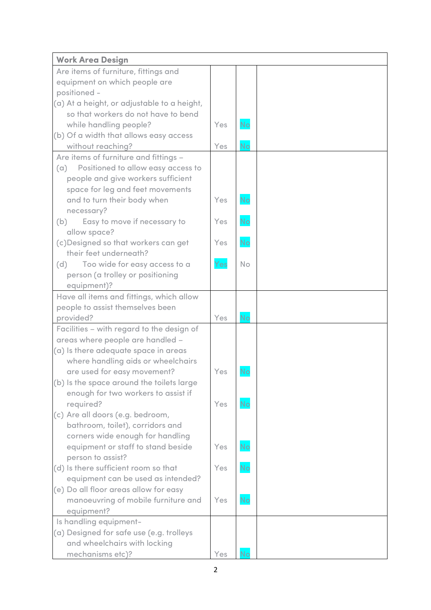| <b>Work Area Design</b>                                                  |     |           |  |
|--------------------------------------------------------------------------|-----|-----------|--|
| Are items of furniture, fittings and                                     |     |           |  |
| equipment on which people are                                            |     |           |  |
| positioned -                                                             |     |           |  |
| (a) At a height, or adjustable to a height,                              |     |           |  |
| so that workers do not have to bend                                      |     |           |  |
| while handling people?                                                   | Yes | No        |  |
| (b) Of a width that allows easy access                                   |     |           |  |
| without reaching?                                                        | Yes | <b>No</b> |  |
| Are items of furniture and fittings -                                    |     |           |  |
| (a) Positioned to allow easy access to                                   |     |           |  |
| people and give workers sufficient                                       |     |           |  |
| space for leg and feet movements                                         |     |           |  |
| and to turn their body when                                              | Yes | <b>No</b> |  |
| necessary?                                                               |     |           |  |
| Easy to move if necessary to<br>(b)                                      | Yes | No        |  |
| allow space?                                                             |     |           |  |
| (c) Designed so that workers can get<br>their feet underneath?           | Yes | <b>No</b> |  |
| Too wide for easy access to a<br>(d)                                     | Yes | <b>No</b> |  |
| person (a trolley or positioning                                         |     |           |  |
| equipment)?                                                              |     |           |  |
| Have all items and fittings, which allow                                 |     |           |  |
| people to assist themselves been                                         |     |           |  |
| provided?                                                                | Yes | <b>No</b> |  |
| Facilities - with regard to the design of                                |     |           |  |
| areas where people are handled -                                         |     |           |  |
| (a) Is there adequate space in areas                                     |     |           |  |
| where handling aids or wheelchairs                                       |     |           |  |
| are used for easy movement?                                              | Yes | No        |  |
| (b) Is the space around the toilets large                                |     |           |  |
| enough for two workers to assist if                                      |     |           |  |
| required?                                                                | Yes | <b>No</b> |  |
| (c) Are all doors (e.g. bedroom,                                         |     |           |  |
| bathroom, toilet), corridors and                                         |     |           |  |
| corners wide enough for handling                                         |     |           |  |
| equipment or staff to stand beside                                       | Yes | <b>No</b> |  |
| person to assist?                                                        |     |           |  |
| (d) Is there sufficient room so that                                     | Yes | <b>No</b> |  |
| equipment can be used as intended?                                       |     |           |  |
| (e) Do all floor areas allow for easy                                    |     |           |  |
| manoeuvring of mobile furniture and                                      | Yes | No        |  |
| equipment?                                                               |     |           |  |
| Is handling equipment-                                                   |     |           |  |
| (a) Designed for safe use (e.g. trolleys<br>and wheelchairs with locking |     |           |  |
| mechanisms etc)?                                                         | Yes | No        |  |
|                                                                          |     |           |  |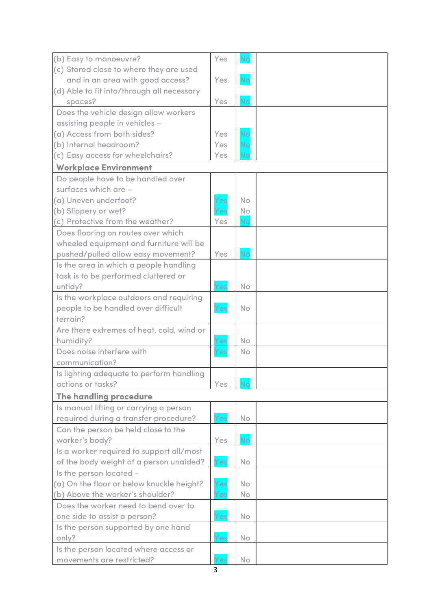| (b) Easy to manoeuvre?                     | Yes | No        |  |
|--------------------------------------------|-----|-----------|--|
| (c) Stored close to where they are used    |     |           |  |
| and in an area with good access?           | Yes | <b>No</b> |  |
| (d) Able to fit into/through all necessary |     |           |  |
| spaces?                                    | Yes | <b>No</b> |  |
| Does the vehicle design allow workers      |     |           |  |
| assisting people in vehicles -             |     |           |  |
| (a) Access from both sides?                | Yes | No        |  |
| (b) Internal headroom?                     | Yes | <b>No</b> |  |
| (c) Easy access for wheelchairs?           | Yes | No        |  |
| <b>Workplace Environment</b>               |     |           |  |
| Do people have to be handled over          |     |           |  |
| surfaces which are -                       |     |           |  |
| (a) Uneven underfoot?                      | Yes | <b>No</b> |  |
| (b) Slippery or wet?                       | Yes | No        |  |
| (c) Protective from the weather?           | Yes | <b>No</b> |  |
| Does flooring on routes over which         |     |           |  |
| wheeled equipment and furniture will be    |     |           |  |
| pushed/pulled allow easy movement?         | Yes | <b>No</b> |  |
| Is the area in which a people handling     |     |           |  |
| task is to be performed cluttered or       |     |           |  |
| untidy?                                    | Yes | <b>No</b> |  |
| Is the workplace outdoors and requiring    |     |           |  |
| people to be handled over difficult        | Yes | No        |  |
| terrain?                                   |     |           |  |
| Are there extremes of heat, cold, wind or  |     |           |  |
| humidity?                                  | Yes | <b>No</b> |  |
| Does noise interfere with                  | Yes | <b>No</b> |  |
| communication?                             |     |           |  |
| Is lighting adequate to perform handling   |     |           |  |
| actions or tasks?                          | Yes | No        |  |
| The handling procedure                     |     |           |  |
| Is manual lifting or carrying a person     |     |           |  |
| required during a transfer procedure?      | Yes | No        |  |
| Can the person be held close to the        |     |           |  |
| worker's body?                             | Yes | <b>No</b> |  |
| Is a worker required to support all/most   |     |           |  |
| of the body weight of a person unaided?    | Yes | No        |  |
| Is the person located -                    |     |           |  |
| (a) On the floor or below knuckle height?  | Yes | No.       |  |
| (b) Above the worker's shoulder?           | Yes | No        |  |
| Does the worker need to bend over to       |     |           |  |
| one side to assist a person?               | Yes | No.       |  |
| Is the person supported by one hand        |     |           |  |
| only?                                      | Yes | No        |  |
| Is the person located where access or      |     |           |  |
| movements are restricted?                  | Yes | No        |  |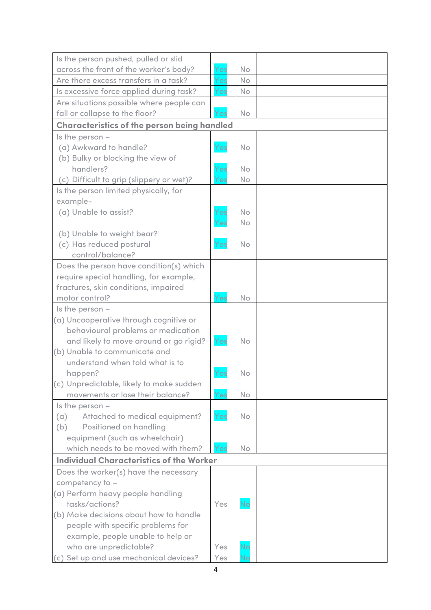| Is the person pushed, pulled or slid               |     |    |  |
|----------------------------------------------------|-----|----|--|
| across the front of the worker's body?             | Yes | No |  |
| Are there excess transfers in a task?              | Yes | No |  |
| Is excessive force applied during task?            | Yes | No |  |
| Are situations possible where people can           |     |    |  |
| fall or collapse to the floor?                     | Yes | No |  |
| <b>Characteristics of the person being handled</b> |     |    |  |
| Is the person $-$                                  |     |    |  |
| (a) Awkward to handle?                             | Yes | No |  |
| (b) Bulky or blocking the view of                  |     |    |  |
| handlers?                                          | Yes | No |  |
| (c) Difficult to grip (slippery or wet)?           | Yes | No |  |
| Is the person limited physically, for              |     |    |  |
| example-                                           |     |    |  |
| (a) Unable to assist?                              | Yes | No |  |
|                                                    | Yes | No |  |
| (b) Unable to weight bear?                         |     |    |  |
| (c) Has reduced postural                           | Yes | No |  |
| control/balance?                                   |     |    |  |
| Does the person have condition(s) which            |     |    |  |
| require special handling, for example,             |     |    |  |
| fractures, skin conditions, impaired               |     |    |  |
| motor control?                                     | Yes | No |  |
| Is the person $-$                                  |     |    |  |
| (a) Uncooperative through cognitive or             |     |    |  |
| behavioural problems or medication                 |     |    |  |
| and likely to move around or go rigid?             | Yes | No |  |
| (b) Unable to communicate and                      |     |    |  |
| understand when told what is to                    |     |    |  |
| happen?                                            | Yes | No |  |
| (c) Unpredictable, likely to make sudden           |     |    |  |
| movements or lose their balance?                   | Yes | No |  |
| Is the person $-$                                  |     |    |  |
| Attached to medical equipment?<br>(a)              | Yes | No |  |
| <b>Positioned on handling</b><br>(b)               |     |    |  |
| equipment (such as wheelchair)                     |     |    |  |
| which needs to be moved with them?                 | Yes | No |  |
| <b>Individual Characteristics of the Worker</b>    |     |    |  |
| Does the worker(s) have the necessary              |     |    |  |
| competency to -                                    |     |    |  |
| (a) Perform heavy people handling                  |     |    |  |
| tasks/actions?                                     | Yes | No |  |
| (b) Make decisions about how to handle             |     |    |  |
| people with specific problems for                  |     |    |  |
| example, people unable to help or                  |     |    |  |
| who are unpredictable?                             | Yes | No |  |
| (c) Set up and use mechanical devices?             | Yes | No |  |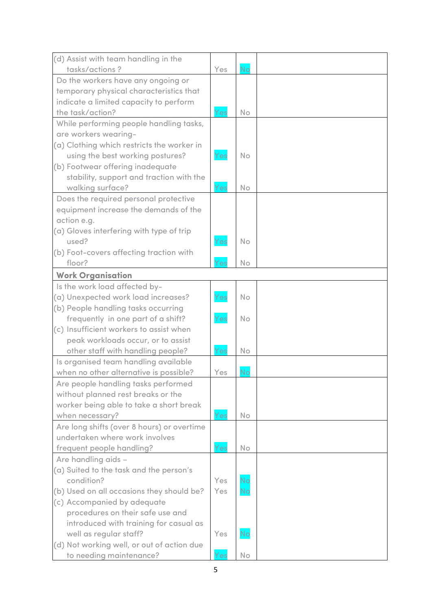| (d) Assist with team handling in the       |     |           |  |
|--------------------------------------------|-----|-----------|--|
| tasks/actions?                             | Yes | <b>No</b> |  |
| Do the workers have any ongoing or         |     |           |  |
| temporary physical characteristics that    |     |           |  |
| indicate a limited capacity to perform     |     |           |  |
| the task/action?                           | Yes | No        |  |
| While performing people handling tasks,    |     |           |  |
| are workers wearing-                       |     |           |  |
| (a) Clothing which restricts the worker in |     |           |  |
| using the best working postures?           | Yes | No        |  |
| (b) Footwear offering inadequate           |     |           |  |
| stability, support and traction with the   |     |           |  |
| walking surface?                           | Yes | No        |  |
| Does the required personal protective      |     |           |  |
| equipment increase the demands of the      |     |           |  |
| action e.g.                                |     |           |  |
| (a) Gloves interfering with type of trip   |     |           |  |
| used?                                      | Yes | No        |  |
| (b) Foot-covers affecting traction with    |     |           |  |
| floor?                                     | Yes | No        |  |
| <b>Work Organisation</b>                   |     |           |  |
| Is the work load affected by-              |     |           |  |
| (a) Unexpected work load increases?        | Yes | No        |  |
| (b) People handling tasks occurring        |     |           |  |
| frequently in one part of a shift?         | Yes | No        |  |
| (c) Insufficient workers to assist when    |     |           |  |
| peak workloads occur, or to assist         |     |           |  |
| other staff with handling people?          | Yes | No        |  |
| Is organised team handling available       |     |           |  |
| when no other alternative is possible?     | Yes | <b>No</b> |  |
| Are people handling tasks performed        |     |           |  |
| without planned rest breaks or the         |     |           |  |
| worker being able to take a short break    |     |           |  |
| when necessary?                            | Yes | No        |  |
| Are long shifts (over 8 hours) or overtime |     |           |  |
| undertaken where work involves             |     |           |  |
| frequent people handling?                  | Yes | No        |  |
| Are handling aids -                        |     |           |  |
| (a) Suited to the task and the person's    |     |           |  |
| condition?                                 | Yes | <b>No</b> |  |
| (b) Used on all occasions they should be?  | Yes | <b>No</b> |  |
| (c) Accompanied by adequate                |     |           |  |
| procedures on their safe use and           |     |           |  |
| introduced with training for casual as     |     |           |  |
| well as regular staff?                     | Yes | <b>No</b> |  |
| (d) Not working well, or out of action due |     |           |  |
| to needing maintenance?                    | Yes | No        |  |